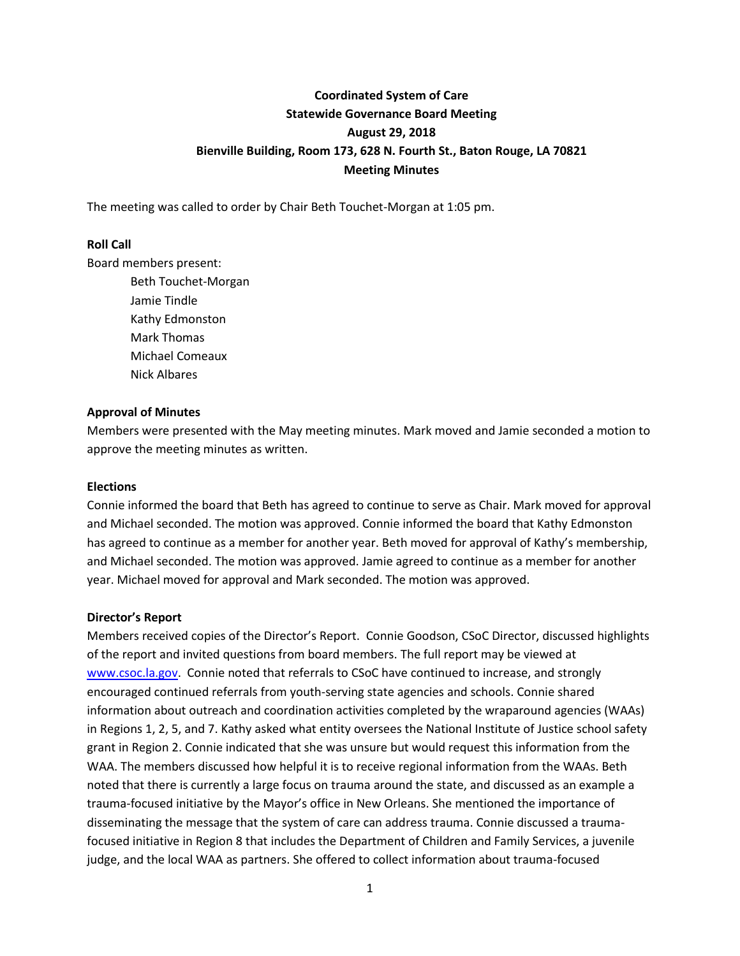# **Coordinated System of Care Statewide Governance Board Meeting August 29, 2018 Bienville Building, Room 173, 628 N. Fourth St., Baton Rouge, LA 70821 Meeting Minutes**

The meeting was called to order by Chair Beth Touchet-Morgan at 1:05 pm.

#### **Roll Call**

Board members present:

Beth Touchet-Morgan Jamie Tindle Kathy Edmonston Mark Thomas Michael Comeaux Nick Albares

#### **Approval of Minutes**

Members were presented with the May meeting minutes. Mark moved and Jamie seconded a motion to approve the meeting minutes as written.

#### **Elections**

Connie informed the board that Beth has agreed to continue to serve as Chair. Mark moved for approval and Michael seconded. The motion was approved. Connie informed the board that Kathy Edmonston has agreed to continue as a member for another year. Beth moved for approval of Kathy's membership, and Michael seconded. The motion was approved. Jamie agreed to continue as a member for another year. Michael moved for approval and Mark seconded. The motion was approved.

#### **Director's Report**

Members received copies of the Director's Report. Connie Goodson, CSoC Director, discussed highlights of the report and invited questions from board members. The full report may be viewed at [www.csoc.la.gov.](http://www.csoc.la.gov/) Connie noted that referrals to CSoC have continued to increase, and strongly encouraged continued referrals from youth-serving state agencies and schools. Connie shared information about outreach and coordination activities completed by the wraparound agencies (WAAs) in Regions 1, 2, 5, and 7. Kathy asked what entity oversees the National Institute of Justice school safety grant in Region 2. Connie indicated that she was unsure but would request this information from the WAA. The members discussed how helpful it is to receive regional information from the WAAs. Beth noted that there is currently a large focus on trauma around the state, and discussed as an example a trauma-focused initiative by the Mayor's office in New Orleans. She mentioned the importance of disseminating the message that the system of care can address trauma. Connie discussed a traumafocused initiative in Region 8 that includes the Department of Children and Family Services, a juvenile judge, and the local WAA as partners. She offered to collect information about trauma-focused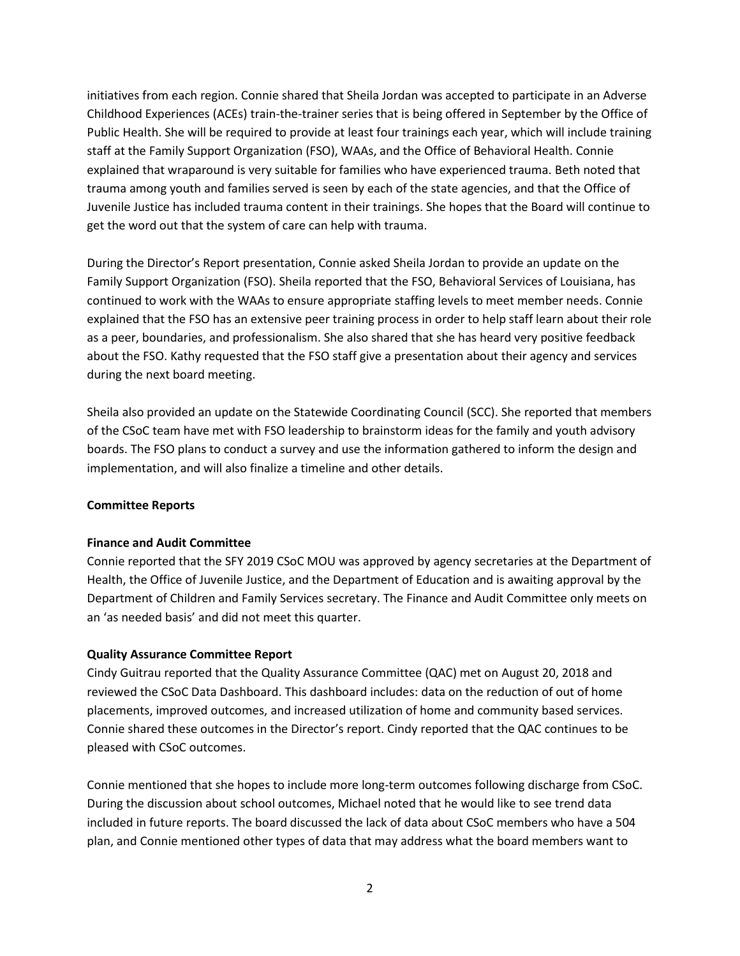initiatives from each region. Connie shared that Sheila Jordan was accepted to participate in an Adverse Childhood Experiences (ACEs) train-the-trainer series that is being offered in September by the Office of Public Health. She will be required to provide at least four trainings each year, which will include training staff at the Family Support Organization (FSO), WAAs, and the Office of Behavioral Health. Connie explained that wraparound is very suitable for families who have experienced trauma. Beth noted that trauma among youth and families served is seen by each of the state agencies, and that the Office of Juvenile Justice has included trauma content in their trainings. She hopes that the Board will continue to get the word out that the system of care can help with trauma.

During the Director's Report presentation, Connie asked Sheila Jordan to provide an update on the Family Support Organization (FSO). Sheila reported that the FSO, Behavioral Services of Louisiana, has continued to work with the WAAs to ensure appropriate staffing levels to meet member needs. Connie explained that the FSO has an extensive peer training process in order to help staff learn about their role as a peer, boundaries, and professionalism. She also shared that she has heard very positive feedback about the FSO. Kathy requested that the FSO staff give a presentation about their agency and services during the next board meeting.

Sheila also provided an update on the Statewide Coordinating Council (SCC). She reported that members of the CSoC team have met with FSO leadership to brainstorm ideas for the family and youth advisory boards. The FSO plans to conduct a survey and use the information gathered to inform the design and implementation, and will also finalize a timeline and other details.

# **Committee Reports**

# **Finance and Audit Committee**

Connie reported that the SFY 2019 CSoC MOU was approved by agency secretaries at the Department of Health, the Office of Juvenile Justice, and the Department of Education and is awaiting approval by the Department of Children and Family Services secretary. The Finance and Audit Committee only meets on an 'as needed basis' and did not meet this quarter.

# **Quality Assurance Committee Report**

Cindy Guitrau reported that the Quality Assurance Committee (QAC) met on August 20, 2018 and reviewed the CSoC Data Dashboard. This dashboard includes: data on the reduction of out of home placements, improved outcomes, and increased utilization of home and community based services. Connie shared these outcomes in the Director's report. Cindy reported that the QAC continues to be pleased with CSoC outcomes.

Connie mentioned that she hopes to include more long-term outcomes following discharge from CSoC. During the discussion about school outcomes, Michael noted that he would like to see trend data included in future reports. The board discussed the lack of data about CSoC members who have a 504 plan, and Connie mentioned other types of data that may address what the board members want to